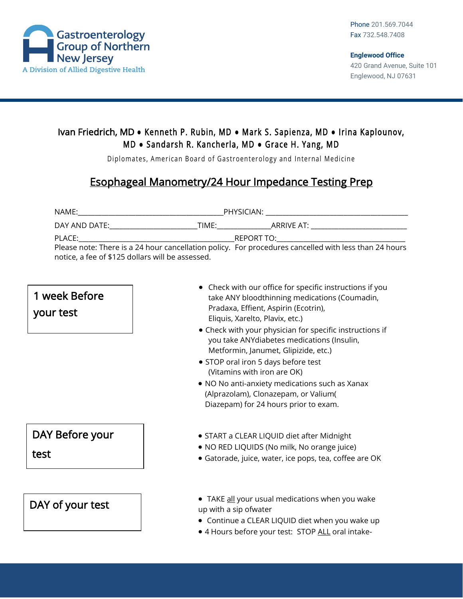

## Ivan Friedrich, MD **●** Kenneth P. Rubin, MD **●** Mark S. Sapienza, MD **●** Irina Kaplounov, M D **●** Sandarsh R. Kancherla, MD **●** Grace H. Yang, MD

Diplomates, American Board of Gastroenterology and Internal Medicine

## Esophageal Manometry/24 Hour Impedance Testing Prep

| NAME:                                            | PHYSICIAN:                                                                                            |
|--------------------------------------------------|-------------------------------------------------------------------------------------------------------|
| DAY AND DATE:<br>TIME:                           | ARRIVE AT:                                                                                            |
| PLACE:                                           | REPORT TO: THE REPORT TO:                                                                             |
|                                                  | Please note: There is a 24 hour cancellation policy. For procedures cancelled with less than 24 hours |
| notice, a fee of \$125 dollars will be assessed. |                                                                                                       |

## • Check with our office for specific instructions if you take ANY bloodthinning medications (Coumadin, Pradaxa, Effient, Aspirin (Ecotrin), Eliquis, Xarelto, Plavix, etc.) • Check with your physician for specific instructions if you take ANYdiabetes medications (Insulin, Metformin, Janumet, Glipizide, etc.) • STOP oral iron 5 days before test (Vitamins with iron are OK) • NO No anti-anxiety medications such as Xanax (Alprazolam), Clonazepam, or Valium( Diazepam) for 24 hours prior to exam. • START a CLEAR LIQUID diet after Midnight • NO RED LIQUIDS (No milk, No orange juice) • Gatorade, juice, water, ice pops, tea, coffee are OK • TAKE all your usual medications when you wake up with a sip ofwater • Continue a CLEAR LIQUID diet when you wake up • 4 Hours before your test: STOP ALL oral intake-DAY of your test DAY Before your test 1 week Before your test